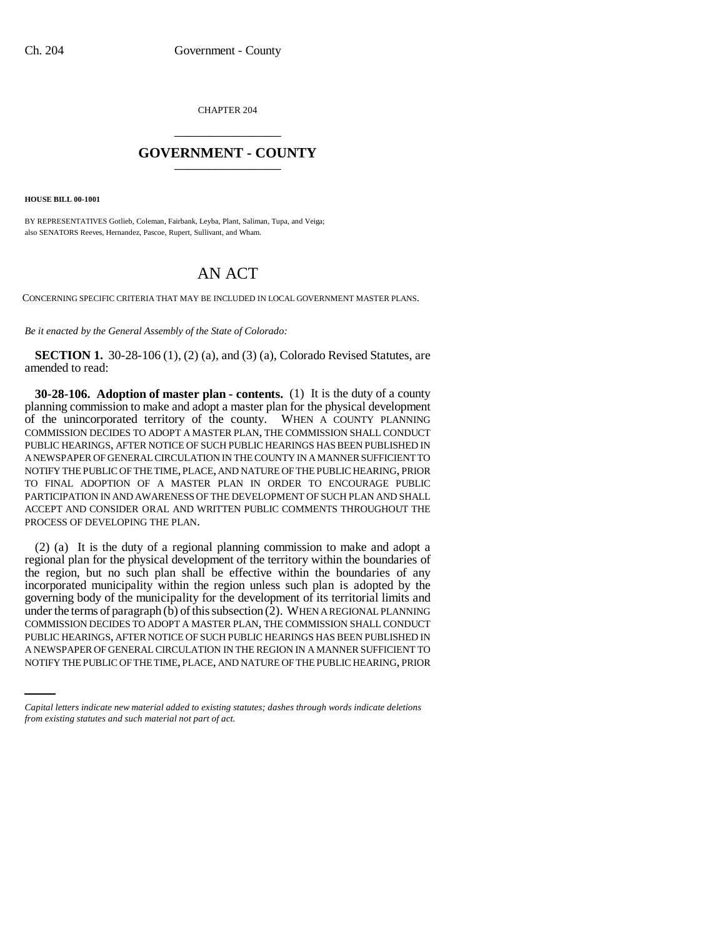CHAPTER 204 \_\_\_\_\_\_\_\_\_\_\_\_\_\_\_

## **GOVERNMENT - COUNTY** \_\_\_\_\_\_\_\_\_\_\_\_\_\_\_

**HOUSE BILL 00-1001** 

BY REPRESENTATIVES Gotlieb, Coleman, Fairbank, Leyba, Plant, Saliman, Tupa, and Veiga; also SENATORS Reeves, Hernandez, Pascoe, Rupert, Sullivant, and Wham.

# AN ACT

CONCERNING SPECIFIC CRITERIA THAT MAY BE INCLUDED IN LOCAL GOVERNMENT MASTER PLANS.

*Be it enacted by the General Assembly of the State of Colorado:*

**SECTION 1.** 30-28-106 (1), (2) (a), and (3) (a), Colorado Revised Statutes, are amended to read:

**30-28-106. Adoption of master plan - contents.** (1) It is the duty of a county planning commission to make and adopt a master plan for the physical development of the unincorporated territory of the county. WHEN A COUNTY PLANNING COMMISSION DECIDES TO ADOPT A MASTER PLAN, THE COMMISSION SHALL CONDUCT PUBLIC HEARINGS, AFTER NOTICE OF SUCH PUBLIC HEARINGS HAS BEEN PUBLISHED IN A NEWSPAPER OF GENERAL CIRCULATION IN THE COUNTY IN A MANNER SUFFICIENT TO NOTIFY THE PUBLIC OF THE TIME, PLACE, AND NATURE OF THE PUBLIC HEARING, PRIOR TO FINAL ADOPTION OF A MASTER PLAN IN ORDER TO ENCOURAGE PUBLIC PARTICIPATION IN AND AWARENESS OF THE DEVELOPMENT OF SUCH PLAN AND SHALL ACCEPT AND CONSIDER ORAL AND WRITTEN PUBLIC COMMENTS THROUGHOUT THE PROCESS OF DEVELOPING THE PLAN.

PUBLIC HEARINGS, AFTER NOTICE OF SUCH PUBLIC HEARINGS HAS BEEN PUBLISHED IN (2) (a) It is the duty of a regional planning commission to make and adopt a regional plan for the physical development of the territory within the boundaries of the region, but no such plan shall be effective within the boundaries of any incorporated municipality within the region unless such plan is adopted by the governing body of the municipality for the development of its territorial limits and under the terms of paragraph  $(b)$  of this subsection  $(2)$ . WHEN A REGIONAL PLANNING COMMISSION DECIDES TO ADOPT A MASTER PLAN, THE COMMISSION SHALL CONDUCT A NEWSPAPER OF GENERAL CIRCULATION IN THE REGION IN A MANNER SUFFICIENT TO NOTIFY THE PUBLIC OF THE TIME, PLACE, AND NATURE OF THE PUBLIC HEARING, PRIOR

*Capital letters indicate new material added to existing statutes; dashes through words indicate deletions from existing statutes and such material not part of act.*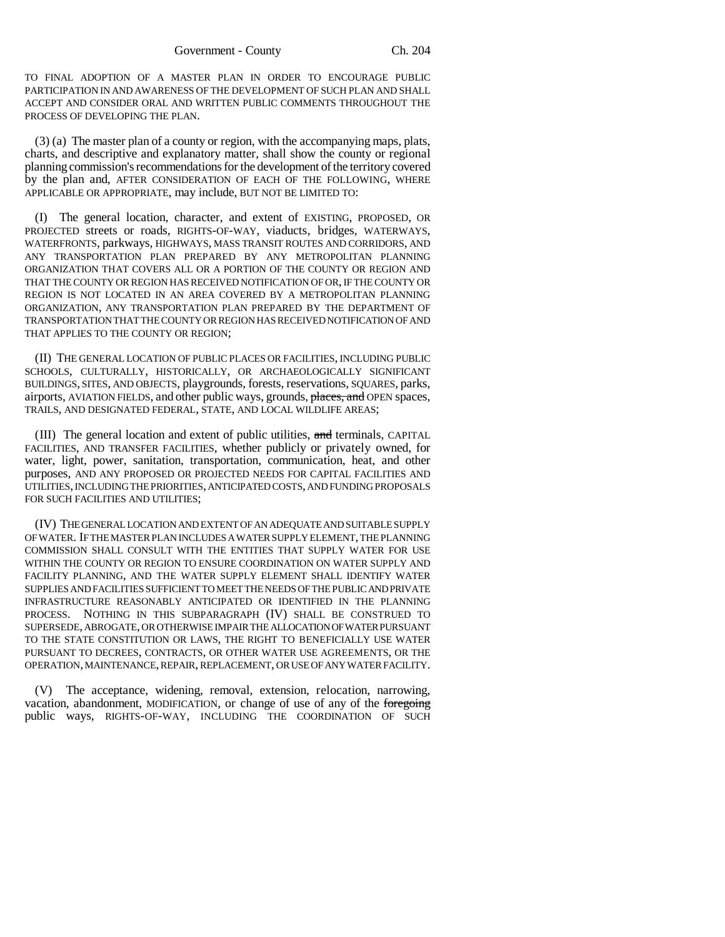TO FINAL ADOPTION OF A MASTER PLAN IN ORDER TO ENCOURAGE PUBLIC PARTICIPATION IN AND AWARENESS OF THE DEVELOPMENT OF SUCH PLAN AND SHALL ACCEPT AND CONSIDER ORAL AND WRITTEN PUBLIC COMMENTS THROUGHOUT THE PROCESS OF DEVELOPING THE PLAN.

(3) (a) The master plan of a county or region, with the accompanying maps, plats, charts, and descriptive and explanatory matter, shall show the county or regional planning commission's recommendations for the development of the territory covered by the plan and, AFTER CONSIDERATION OF EACH OF THE FOLLOWING, WHERE APPLICABLE OR APPROPRIATE, may include, BUT NOT BE LIMITED TO:

(I) The general location, character, and extent of EXISTING, PROPOSED, OR PROJECTED streets or roads, RIGHTS-OF-WAY, viaducts, bridges, WATERWAYS, WATERFRONTS, parkways, HIGHWAYS, MASS TRANSIT ROUTES AND CORRIDORS, AND ANY TRANSPORTATION PLAN PREPARED BY ANY METROPOLITAN PLANNING ORGANIZATION THAT COVERS ALL OR A PORTION OF THE COUNTY OR REGION AND THAT THE COUNTY OR REGION HAS RECEIVED NOTIFICATION OF OR, IF THE COUNTY OR REGION IS NOT LOCATED IN AN AREA COVERED BY A METROPOLITAN PLANNING ORGANIZATION, ANY TRANSPORTATION PLAN PREPARED BY THE DEPARTMENT OF TRANSPORTATION THAT THE COUNTY OR REGION HAS RECEIVED NOTIFICATION OF AND THAT APPLIES TO THE COUNTY OR REGION;

(II) THE GENERAL LOCATION OF PUBLIC PLACES OR FACILITIES, INCLUDING PUBLIC SCHOOLS, CULTURALLY, HISTORICALLY, OR ARCHAEOLOGICALLY SIGNIFICANT BUILDINGS, SITES, AND OBJECTS, playgrounds, forests, reservations, SQUARES, parks, airports, AVIATION FIELDS, and other public ways, grounds, places, and OPEN spaces, TRAILS, AND DESIGNATED FEDERAL, STATE, AND LOCAL WILDLIFE AREAS;

(III) The general location and extent of public utilities, and terminals, CAPITAL FACILITIES, AND TRANSFER FACILITIES, whether publicly or privately owned, for water, light, power, sanitation, transportation, communication, heat, and other purposes, AND ANY PROPOSED OR PROJECTED NEEDS FOR CAPITAL FACILITIES AND UTILITIES, INCLUDING THE PRIORITIES, ANTICIPATED COSTS, AND FUNDING PROPOSALS FOR SUCH FACILITIES AND UTILITIES;

(IV) THE GENERAL LOCATION AND EXTENT OF AN ADEQUATE AND SUITABLE SUPPLY OF WATER. IF THE MASTER PLAN INCLUDES A WATER SUPPLY ELEMENT, THE PLANNING COMMISSION SHALL CONSULT WITH THE ENTITIES THAT SUPPLY WATER FOR USE WITHIN THE COUNTY OR REGION TO ENSURE COORDINATION ON WATER SUPPLY AND FACILITY PLANNING, AND THE WATER SUPPLY ELEMENT SHALL IDENTIFY WATER SUPPLIES AND FACILITIES SUFFICIENT TO MEET THE NEEDS OF THE PUBLIC AND PRIVATE INFRASTRUCTURE REASONABLY ANTICIPATED OR IDENTIFIED IN THE PLANNING PROCESS. NOTHING IN THIS SUBPARAGRAPH (IV) SHALL BE CONSTRUED TO SUPERSEDE, ABROGATE, OR OTHERWISE IMPAIR THE ALLOCATION OF WATER PURSUANT TO THE STATE CONSTITUTION OR LAWS, THE RIGHT TO BENEFICIALLY USE WATER PURSUANT TO DECREES, CONTRACTS, OR OTHER WATER USE AGREEMENTS, OR THE OPERATION, MAINTENANCE, REPAIR, REPLACEMENT, OR USE OF ANY WATER FACILITY.

(V) The acceptance, widening, removal, extension, relocation, narrowing, vacation, abandonment, MODIFICATION, or change of use of any of the foregoing public ways, RIGHTS-OF-WAY, INCLUDING THE COORDINATION OF SUCH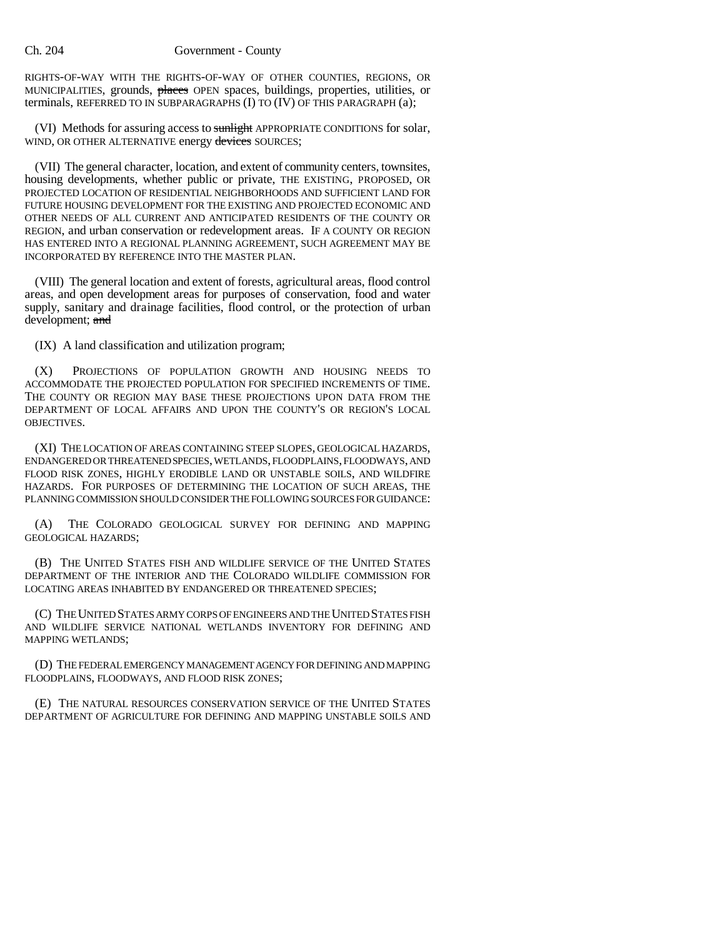### Ch. 204 Government - County

RIGHTS-OF-WAY WITH THE RIGHTS-OF-WAY OF OTHER COUNTIES, REGIONS, OR MUNICIPALITIES, grounds, places OPEN spaces, buildings, properties, utilities, or terminals, REFERRED TO IN SUBPARAGRAPHS (I) TO (IV) OF THIS PARAGRAPH (a);

(VI) Methods for assuring access to sunlight APPROPRIATE CONDITIONS for solar, WIND, OR OTHER ALTERNATIVE energy devices SOURCES;

(VII) The general character, location, and extent of community centers, townsites, housing developments, whether public or private, THE EXISTING, PROPOSED, OR PROJECTED LOCATION OF RESIDENTIAL NEIGHBORHOODS AND SUFFICIENT LAND FOR FUTURE HOUSING DEVELOPMENT FOR THE EXISTING AND PROJECTED ECONOMIC AND OTHER NEEDS OF ALL CURRENT AND ANTICIPATED RESIDENTS OF THE COUNTY OR REGION, and urban conservation or redevelopment areas. IF A COUNTY OR REGION HAS ENTERED INTO A REGIONAL PLANNING AGREEMENT, SUCH AGREEMENT MAY BE INCORPORATED BY REFERENCE INTO THE MASTER PLAN.

(VIII) The general location and extent of forests, agricultural areas, flood control areas, and open development areas for purposes of conservation, food and water supply, sanitary and drainage facilities, flood control, or the protection of urban development; and

(IX) A land classification and utilization program;

(X) PROJECTIONS OF POPULATION GROWTH AND HOUSING NEEDS TO ACCOMMODATE THE PROJECTED POPULATION FOR SPECIFIED INCREMENTS OF TIME. THE COUNTY OR REGION MAY BASE THESE PROJECTIONS UPON DATA FROM THE DEPARTMENT OF LOCAL AFFAIRS AND UPON THE COUNTY'S OR REGION'S LOCAL OBJECTIVES.

(XI) THE LOCATION OF AREAS CONTAINING STEEP SLOPES, GEOLOGICAL HAZARDS, ENDANGERED OR THREATENED SPECIES, WETLANDS, FLOODPLAINS, FLOODWAYS, AND FLOOD RISK ZONES, HIGHLY ERODIBLE LAND OR UNSTABLE SOILS, AND WILDFIRE HAZARDS. FOR PURPOSES OF DETERMINING THE LOCATION OF SUCH AREAS, THE PLANNING COMMISSION SHOULD CONSIDER THE FOLLOWING SOURCES FOR GUIDANCE:

(A) THE COLORADO GEOLOGICAL SURVEY FOR DEFINING AND MAPPING GEOLOGICAL HAZARDS;

(B) THE UNITED STATES FISH AND WILDLIFE SERVICE OF THE UNITED STATES DEPARTMENT OF THE INTERIOR AND THE COLORADO WILDLIFE COMMISSION FOR LOCATING AREAS INHABITED BY ENDANGERED OR THREATENED SPECIES;

(C) THE UNITED STATES ARMY CORPS OF ENGINEERS AND THE UNITED STATES FISH AND WILDLIFE SERVICE NATIONAL WETLANDS INVENTORY FOR DEFINING AND MAPPING WETLANDS;

(D) THE FEDERAL EMERGENCY MANAGEMENT AGENCY FOR DEFINING AND MAPPING FLOODPLAINS, FLOODWAYS, AND FLOOD RISK ZONES;

(E) THE NATURAL RESOURCES CONSERVATION SERVICE OF THE UNITED STATES DEPARTMENT OF AGRICULTURE FOR DEFINING AND MAPPING UNSTABLE SOILS AND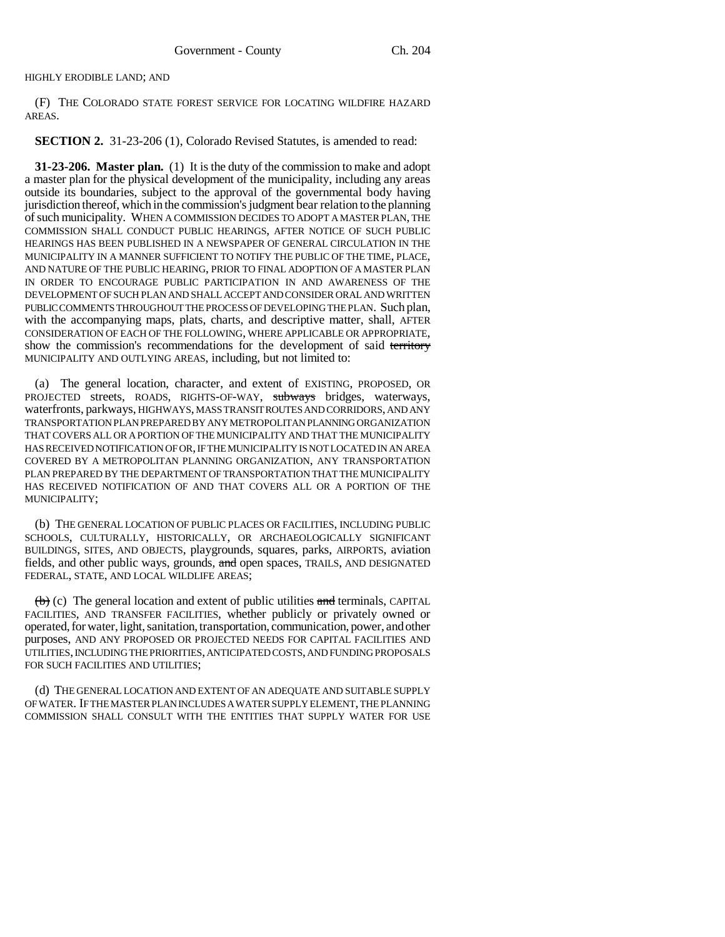HIGHLY ERODIBLE LAND; AND

(F) THE COLORADO STATE FOREST SERVICE FOR LOCATING WILDFIRE HAZARD AREAS.

**SECTION 2.** 31-23-206 (1), Colorado Revised Statutes, is amended to read:

**31-23-206. Master plan.** (1) It is the duty of the commission to make and adopt a master plan for the physical development of the municipality, including any areas outside its boundaries, subject to the approval of the governmental body having jurisdiction thereof, which in the commission's judgment bear relation to the planning of such municipality. WHEN A COMMISSION DECIDES TO ADOPT A MASTER PLAN, THE COMMISSION SHALL CONDUCT PUBLIC HEARINGS, AFTER NOTICE OF SUCH PUBLIC HEARINGS HAS BEEN PUBLISHED IN A NEWSPAPER OF GENERAL CIRCULATION IN THE MUNICIPALITY IN A MANNER SUFFICIENT TO NOTIFY THE PUBLIC OF THE TIME, PLACE, AND NATURE OF THE PUBLIC HEARING, PRIOR TO FINAL ADOPTION OF A MASTER PLAN IN ORDER TO ENCOURAGE PUBLIC PARTICIPATION IN AND AWARENESS OF THE DEVELOPMENT OF SUCH PLAN AND SHALL ACCEPT AND CONSIDER ORAL AND WRITTEN PUBLIC COMMENTS THROUGHOUT THE PROCESS OF DEVELOPING THE PLAN. Such plan, with the accompanying maps, plats, charts, and descriptive matter, shall, AFTER CONSIDERATION OF EACH OF THE FOLLOWING, WHERE APPLICABLE OR APPROPRIATE, show the commission's recommendations for the development of said territory MUNICIPALITY AND OUTLYING AREAS, including, but not limited to:

(a) The general location, character, and extent of EXISTING, PROPOSED, OR PROJECTED streets, ROADS, RIGHTS-OF-WAY, subways bridges, waterways, waterfronts, parkways, HIGHWAYS, MASS TRANSIT ROUTES AND CORRIDORS, AND ANY TRANSPORTATION PLAN PREPARED BY ANY METROPOLITAN PLANNING ORGANIZATION THAT COVERS ALL OR A PORTION OF THE MUNICIPALITY AND THAT THE MUNICIPALITY HAS RECEIVED NOTIFICATION OF OR, IF THE MUNICIPALITY IS NOT LOCATED IN AN AREA COVERED BY A METROPOLITAN PLANNING ORGANIZATION, ANY TRANSPORTATION PLAN PREPARED BY THE DEPARTMENT OF TRANSPORTATION THAT THE MUNICIPALITY HAS RECEIVED NOTIFICATION OF AND THAT COVERS ALL OR A PORTION OF THE MUNICIPALITY;

(b) THE GENERAL LOCATION OF PUBLIC PLACES OR FACILITIES, INCLUDING PUBLIC SCHOOLS, CULTURALLY, HISTORICALLY, OR ARCHAEOLOGICALLY SIGNIFICANT BUILDINGS, SITES, AND OBJECTS, playgrounds, squares, parks, AIRPORTS, aviation fields, and other public ways, grounds, and open spaces, TRAILS, AND DESIGNATED FEDERAL, STATE, AND LOCAL WILDLIFE AREAS;

 $\left(\frac{b}{b}\right)$  (c) The general location and extent of public utilities and terminals, CAPITAL FACILITIES, AND TRANSFER FACILITIES, whether publicly or privately owned or operated, for water, light, sanitation, transportation, communication, power, and other purposes, AND ANY PROPOSED OR PROJECTED NEEDS FOR CAPITAL FACILITIES AND UTILITIES, INCLUDING THE PRIORITIES, ANTICIPATED COSTS, AND FUNDING PROPOSALS FOR SUCH FACILITIES AND UTILITIES;

(d) THE GENERAL LOCATION AND EXTENT OF AN ADEQUATE AND SUITABLE SUPPLY OF WATER. IF THE MASTER PLAN INCLUDES A WATER SUPPLY ELEMENT, THE PLANNING COMMISSION SHALL CONSULT WITH THE ENTITIES THAT SUPPLY WATER FOR USE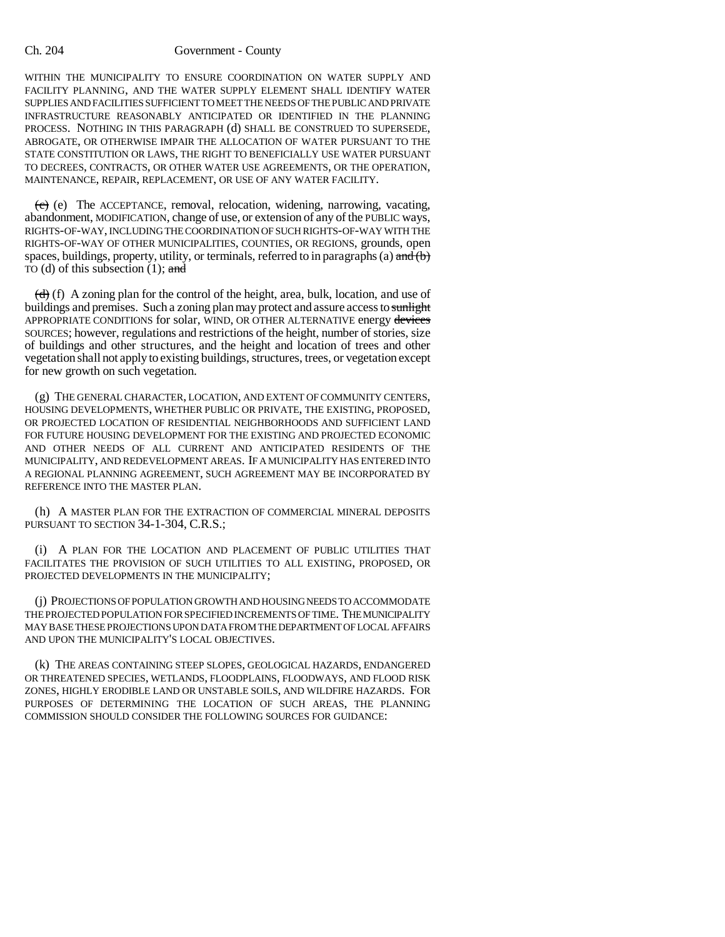#### Ch. 204 Government - County

WITHIN THE MUNICIPALITY TO ENSURE COORDINATION ON WATER SUPPLY AND FACILITY PLANNING, AND THE WATER SUPPLY ELEMENT SHALL IDENTIFY WATER SUPPLIES AND FACILITIES SUFFICIENT TO MEET THE NEEDS OF THE PUBLIC AND PRIVATE INFRASTRUCTURE REASONABLY ANTICIPATED OR IDENTIFIED IN THE PLANNING PROCESS. NOTHING IN THIS PARAGRAPH (d) SHALL BE CONSTRUED TO SUPERSEDE, ABROGATE, OR OTHERWISE IMPAIR THE ALLOCATION OF WATER PURSUANT TO THE STATE CONSTITUTION OR LAWS, THE RIGHT TO BENEFICIALLY USE WATER PURSUANT TO DECREES, CONTRACTS, OR OTHER WATER USE AGREEMENTS, OR THE OPERATION, MAINTENANCE, REPAIR, REPLACEMENT, OR USE OF ANY WATER FACILITY.

 $(e)$  The ACCEPTANCE, removal, relocation, widening, narrowing, vacating, abandonment, MODIFICATION, change of use, or extension of any of the PUBLIC ways, RIGHTS-OF-WAY, INCLUDING THE COORDINATION OF SUCH RIGHTS-OF-WAY WITH THE RIGHTS-OF-WAY OF OTHER MUNICIPALITIES, COUNTIES, OR REGIONS, grounds, open spaces, buildings, property, utility, or terminals, referred to in paragraphs (a)  $\frac{and}{b}$ TO (d) of this subsection  $(1)$ ; and

 $(d)$  (f) A zoning plan for the control of the height, area, bulk, location, and use of buildings and premises. Such a zoning plan may protect and assure access to sunlight APPROPRIATE CONDITIONS for solar, WIND, OR OTHER ALTERNATIVE energy devices SOURCES; however, regulations and restrictions of the height, number of stories, size of buildings and other structures, and the height and location of trees and other vegetation shall not apply to existing buildings, structures, trees, or vegetation except for new growth on such vegetation.

(g) THE GENERAL CHARACTER, LOCATION, AND EXTENT OF COMMUNITY CENTERS, HOUSING DEVELOPMENTS, WHETHER PUBLIC OR PRIVATE, THE EXISTING, PROPOSED, OR PROJECTED LOCATION OF RESIDENTIAL NEIGHBORHOODS AND SUFFICIENT LAND FOR FUTURE HOUSING DEVELOPMENT FOR THE EXISTING AND PROJECTED ECONOMIC AND OTHER NEEDS OF ALL CURRENT AND ANTICIPATED RESIDENTS OF THE MUNICIPALITY, AND REDEVELOPMENT AREAS. IF A MUNICIPALITY HAS ENTERED INTO A REGIONAL PLANNING AGREEMENT, SUCH AGREEMENT MAY BE INCORPORATED BY REFERENCE INTO THE MASTER PLAN.

(h) A MASTER PLAN FOR THE EXTRACTION OF COMMERCIAL MINERAL DEPOSITS PURSUANT TO SECTION 34-1-304, C.R.S.;

(i) A PLAN FOR THE LOCATION AND PLACEMENT OF PUBLIC UTILITIES THAT FACILITATES THE PROVISION OF SUCH UTILITIES TO ALL EXISTING, PROPOSED, OR PROJECTED DEVELOPMENTS IN THE MUNICIPALITY;

(j) PROJECTIONS OF POPULATION GROWTH AND HOUSING NEEDS TO ACCOMMODATE THE PROJECTED POPULATION FOR SPECIFIED INCREMENTS OF TIME. THE MUNICIPALITY MAY BASE THESE PROJECTIONS UPON DATA FROM THE DEPARTMENT OF LOCAL AFFAIRS AND UPON THE MUNICIPALITY'S LOCAL OBJECTIVES.

(k) THE AREAS CONTAINING STEEP SLOPES, GEOLOGICAL HAZARDS, ENDANGERED OR THREATENED SPECIES, WETLANDS, FLOODPLAINS, FLOODWAYS, AND FLOOD RISK ZONES, HIGHLY ERODIBLE LAND OR UNSTABLE SOILS, AND WILDFIRE HAZARDS. FOR PURPOSES OF DETERMINING THE LOCATION OF SUCH AREAS, THE PLANNING COMMISSION SHOULD CONSIDER THE FOLLOWING SOURCES FOR GUIDANCE: